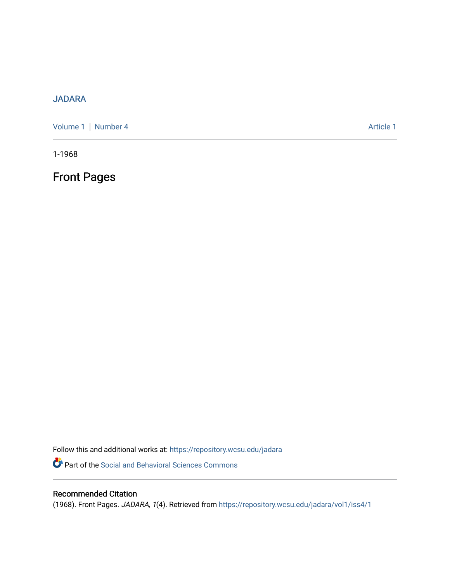## [JADARA](https://repository.wcsu.edu/jadara)

[Volume 1](https://repository.wcsu.edu/jadara/vol1) | [Number 4](https://repository.wcsu.edu/jadara/vol1/iss4) Article 1

1-1968

Front Pages

Follow this and additional works at: [https://repository.wcsu.edu/jadara](https://repository.wcsu.edu/jadara?utm_source=repository.wcsu.edu%2Fjadara%2Fvol1%2Fiss4%2F1&utm_medium=PDF&utm_campaign=PDFCoverPages) Part of the [Social and Behavioral Sciences Commons](http://network.bepress.com/hgg/discipline/316?utm_source=repository.wcsu.edu%2Fjadara%2Fvol1%2Fiss4%2F1&utm_medium=PDF&utm_campaign=PDFCoverPages) 

## Recommended Citation

(1968). Front Pages. JADARA, 1(4). Retrieved from [https://repository.wcsu.edu/jadara/vol1/iss4/1](https://repository.wcsu.edu/jadara/vol1/iss4/1?utm_source=repository.wcsu.edu%2Fjadara%2Fvol1%2Fiss4%2F1&utm_medium=PDF&utm_campaign=PDFCoverPages)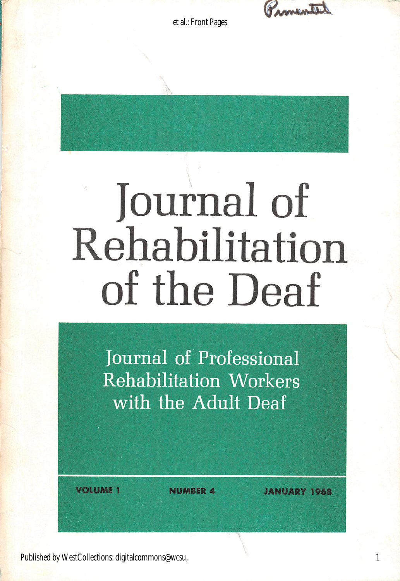Promental

et al.: Front Pages

# Journal of Rehabilitation of the Deaf

Journal of Professional Rehabilitation Workers with the Adult Deaf

**FRUME 1** NUMBER 4 JANUARY 1968

Published by WestCollections: digitalcommons@wcsu,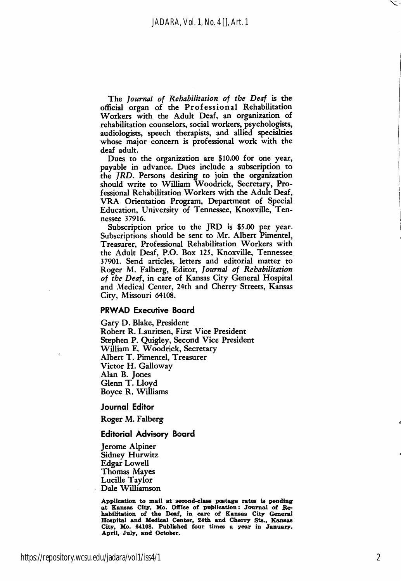The Journal of Rehabilitation of the Deaf is the official organ of the Professional Rehabilitation Workers with the Adult Deaf, an organization of rehabilitation counselors, social workers, psychologists, audiologists, speech therapists, and allied specialties whose major concern is professional work with the deaf adult.

Dues to the organization are \$10.00 for one year, payable in advance. Dues include a subscription to the JRD. Persons desiring to join the organization should write to William Woodrick, Secretary, Pro fessional Rehabilitation Workers with the Adult Deaf, VRA Orientation Program, Department of Special Education, University of Tennessee, Knoxville, Ten nessee 37916.

Subscription price to the JRD is \$5.00 per year. Subscriptions should be sent to Mr. Albert Pimentel, Treasurer, Professional Rehabilitation Workers with the Adult Deaf, P.O. Box 125, Knoxville, Tennessee 37901. Send articles, letters and editorial matter to Roger M. Falberg, Editor, Journal of Rehabilitation of the Deaf, in care of Kansas City General Hospital and Medical Center, 24th and Cherry Streets, Kansas City, Missouri 64108.

#### PRWAD Executive Board

Gary D. Blake, President Robert R. Lauritsen, First Vice President Stephen P. Quigley, Second Vice President William E. Woodrick, Secretary Albert T. Pimentel, Treasurer Victor H. Galloway Alan B. Jones Glenn T. Lloyd Boyce R. Williams

Journal Editor

Roger M. Falberg

#### Editorial Advisory Board

Jerome Alpiner Sidney Hurwitz Edgar Lowell Thomas Mayes Lucille Taylor Dale Williamson

Application to mail at second-class postage rates is pending at Kansas City, Mo. Office of publication: Journal of Rehabilitation of the Deaf, in care of Kansas City General Hospital and Medical Center, 24th and Cherry Sts., Kansas City, Mo. 64108. Published four times a year in January, April, July, and October.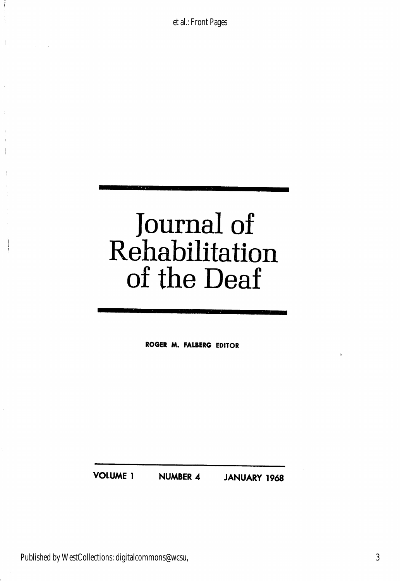et al.: Front Pages

# Journal of Rehabilitation of the Deaf

ROGER M. FALBERG EDITOR

VOLUME 1 NUMBER 4 JANUARY 1968

Published by WestCollections: digitalcommons@wcsu,